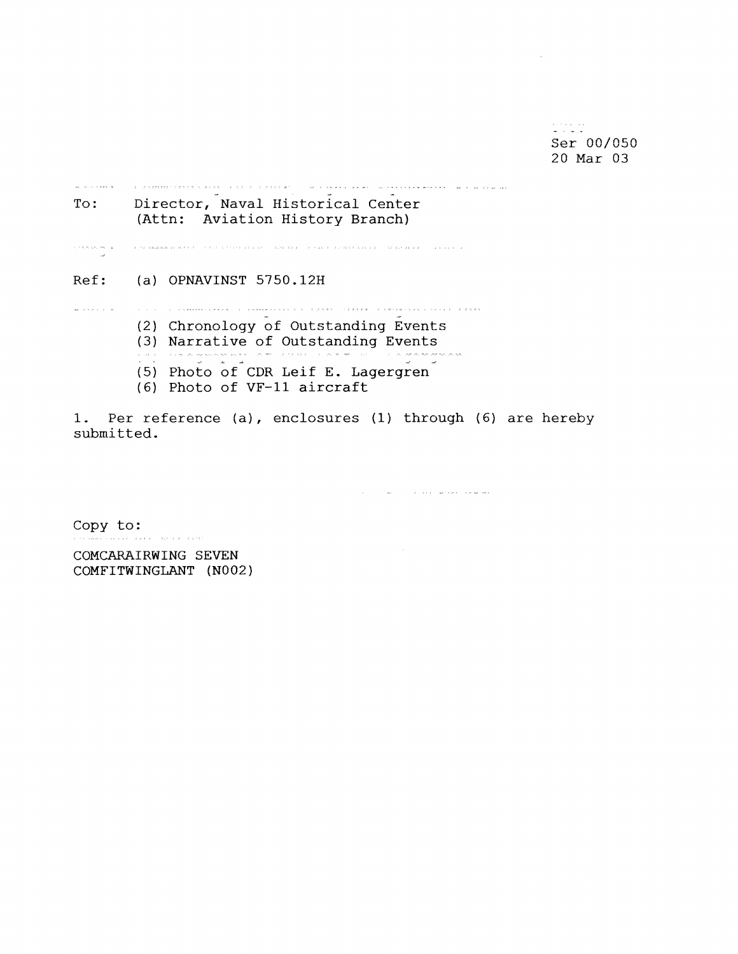$\frac{1}{2}$  -  $\frac{1}{2}$  -sections. **Ser 00/050**  20 **Mar 03** 

--- **<sup>A</sup>**- - **To** : **Director, Naval Historical Center (Attn: Aviation History Branch) Ref: (a) OPNAVINST 5750.12H**  A PRESENT CONTRA L'ESTREMENTANT L'ESTREMENT EN L'ANN (MINER L'ESTREMENT PER L'ESTREM **(2) Chronology** bf **Outstanding Events (3) Narrative of Outstanding Events**<br>All Margering of August 2015 (1997) **(5) Photo of** CDR **Leif E. Lagergren (6) Photo of VF-11 aircraft** 

**1. Per reference (a), enclosures (1) through (6) are hereby submitted.** 

 $\mathcal{A}^{\mathcal{A}}$  , and  $\mathcal{A}^{\mathcal{A}}$  , and the second properties of  $\mathcal{A}^{\mathcal{A}}$ 

**Copy to:** 

**COMCARAIRWING SEVEN COMFITWINGLANT (NO02** )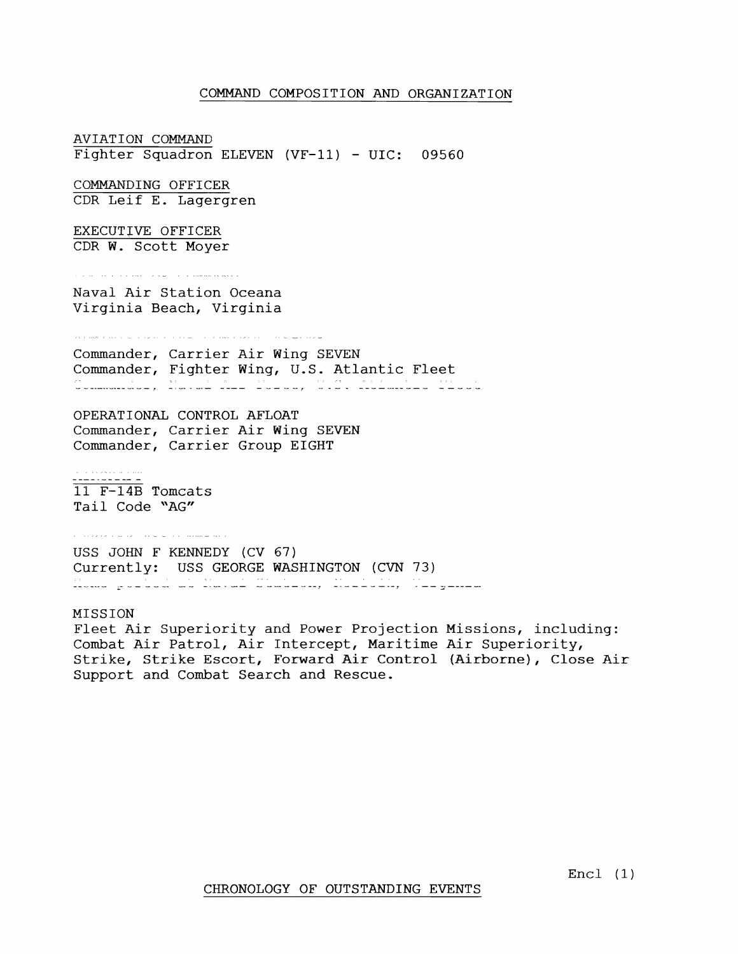## COMMAND COMPOSITION AND ORGANIZATION

AVIATION COMMAND Fighter Squadron ELEVEN (VF-11) - UIC: 09560 COMMANDING OFFICER CDR Leif E. Lagergren EXECUTIVE OFFICER CDR W. Scott Moyer **TERM PROPERTY AND THE REPORT OF A MARKETING FUNCTION** Naval Air Station Oceana Virginia Beach, Virginia .<br>2012 – 2009 – 2013 – 2014 – 2014 – 2014 – 2014 – 2014 – 2014 – 2014 – 2024 – 2024 – 2024 – 2024 – 2024 – 2024 Commander, Carrier Air Wing SEVEN Commander, Fighter Wing, U.S. Atlantic Fleet - - -. - - - -- - - - - - - , - - - . -. - - - - - - - - - - - - - - . - - - - - - - - - - - - - - - OPERATIONAL CONTROL AFLOAT Commander, Carrier Air Wing SEVEN Commander, Carrier Group EIGHT - - - - . . . . . . . .<br>**- - - - - - - - -** -**11 F-14% Tomcats**  Tail Code "AG" r direte parte (nº 201), anno art USS JOHN F KENNEDY (CV 67) Currently: USS GEORGE WASHINGTON (CVN 73) - - - -. -- - - - - - -. - - - - - - - -- - - - - - - - - - - . - - - - - - - - - - - - -. - - - - -. - - MISSION Fleet Air Superiority and Power Projection Missions, including: Combat Air Patrol, Air Intercept, Maritime Air Superiority, Strike, Strike Escort, Forward Air Control (Airborne), Close Air

Support and Combat Search and Rescue.

Encl **(1)**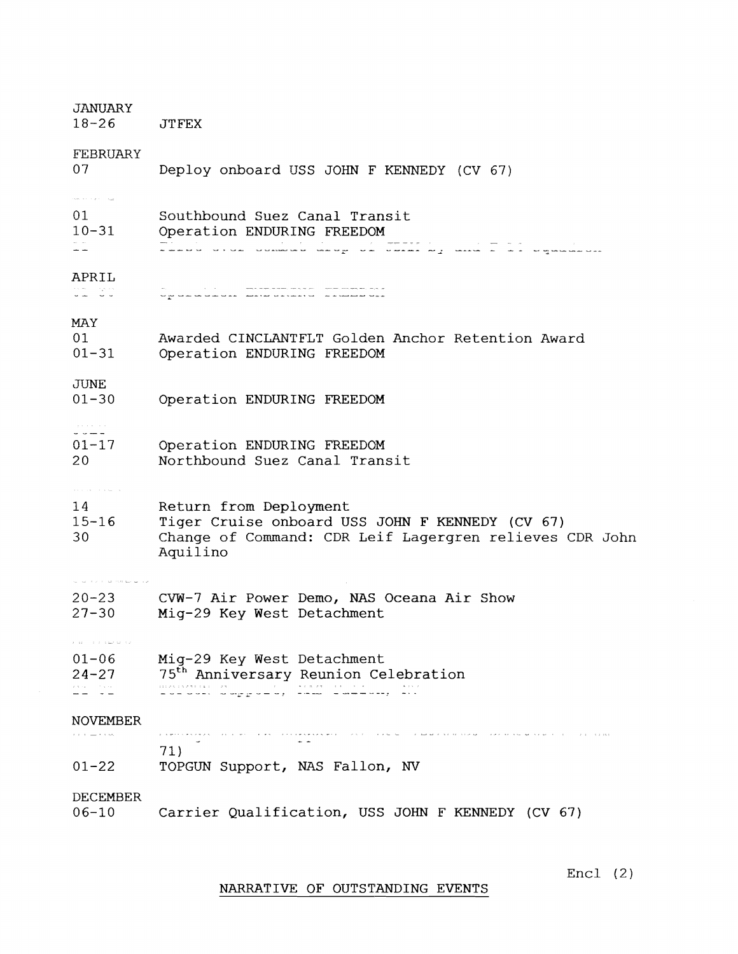| JANUARY<br>$18 - 26$                                                                                                                                                  | <b>JTFEX</b>                                                                                                                                                                                                                                                                                   |
|-----------------------------------------------------------------------------------------------------------------------------------------------------------------------|------------------------------------------------------------------------------------------------------------------------------------------------------------------------------------------------------------------------------------------------------------------------------------------------|
| FEBRUARY<br>07                                                                                                                                                        | Deploy onboard USS JOHN F KENNEDY (CV 67)                                                                                                                                                                                                                                                      |
| where $\alpha$ is a probability $\alpha$<br>01<br>$10 - 31$                                                                                                           | Southbound Suez Canal Transit<br>Operation ENDURING FREEDOM<br>en de la provincia de la componencia de la componencia de la componencia del provincia de la componencia del p<br>A la componencia de la componencia de la componencia de la componencia de la componencia de la componencia de |
| APRIL                                                                                                                                                                 |                                                                                                                                                                                                                                                                                                |
| MAY<br>01<br>$01 - 31$                                                                                                                                                | Awarded CINCLANTFLT Golden Anchor Retention Award<br>Operation ENDURING FREEDOM                                                                                                                                                                                                                |
| <b>JUNE</b><br>$01 - 30$                                                                                                                                              | Operation ENDURING FREEDOM                                                                                                                                                                                                                                                                     |
| - - - -<br>$01 - 17$<br>20                                                                                                                                            | Operation ENDURING FREEDOM<br>Northbound Suez Canal Transit                                                                                                                                                                                                                                    |
| $\ u\ _{\mathcal{H}^{s}}\leq\ u\ _{\mathcal{H}^{s}}\leq\ u\ _{\mathcal{H}^{s}}\leq\ u\ _{\mathcal{H}^{s}}\leq\ u\ _{\mathcal{H}^{s}}$<br>14<br>$15 - 16$<br>30        | Return from Deployment<br>Tiger Cruise onboard USS JOHN F KENNEDY (CV 67)<br>Change of Command: CDR Leif Lagergren relieves CDR John<br>Aquilino                                                                                                                                               |
|                                                                                                                                                                       | 20-23 CVW-7 Air Power Demo, NAS Oceana Air Show                                                                                                                                                                                                                                                |
| $27 - 30$<br>$\label{eq:3.1} \begin{array}{cccccccccccccc} \lambda & \pm 1 & \pm & \pm & \lambda & \pm & \pm & \pm \pm & \pm \pm & \pm \pm & \pm \pm \pm \end{array}$ | Mig-29 Key West Detachment                                                                                                                                                                                                                                                                     |
| $01 - 06$<br>$24 - 27$<br>and Candi<br>Album Album                                                                                                                    | Mig-29 Key West Detachment<br>75 <sup>th</sup> Anniversary Reunion Celebration<br>niko okazista (h. 1988).<br>14 de abril: Alemany Marcelli, filozof (h. 1986).                                                                                                                                |
| <b>NOVEMBER</b><br>$\alpha$ , and $\alpha$ , $\alpha$ are                                                                                                             | ramentes experientes de la contrata de<br>The research of the community of the community of the community of the second                                                                                                                                                                        |
| $01 - 22$                                                                                                                                                             | 71)<br>TOPGUN Support, NAS Fallon, NV                                                                                                                                                                                                                                                          |
| DECEMBER<br>$06 - 10$                                                                                                                                                 | Carrier Qualification, USS JOHN F KENNEDY (CV 67)                                                                                                                                                                                                                                              |

NARRATIVE OF OUTSTANDING EVENTS

Encl (2)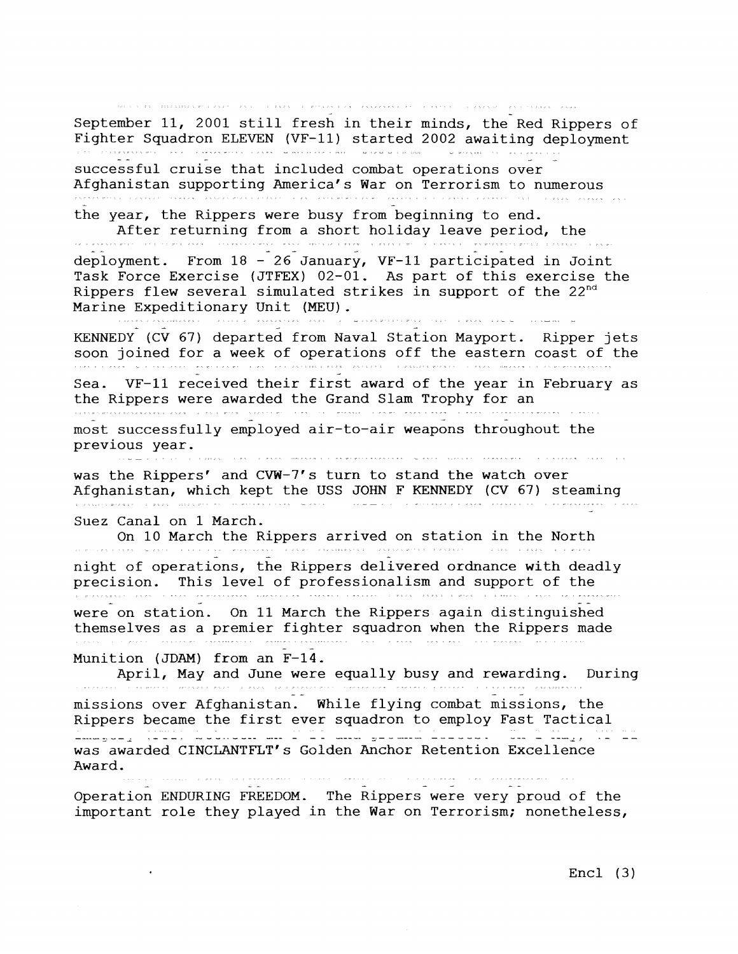.<br>I manifesta al cal de la fixe la trava de la fixe de la fixe de la fixe de la fixe de la fixe de la fixe de l September 11, 2001 still fresh in their minds, the Red Rippers of Fighter Squadron ELEVEN (VF-11) started 2002 awaiting deployment 19<del>10a - Milana di Silay, 19</del>19a - 1920a<br>1920a - Antonio III, mandanti di Bandhirian (Bretanian Certain)<br>1920a - Milandria di Bandhiria, mpikambana (Bretanian Certain) successful cruise that included combat operations over Afghanistan supporting America's War on Terrorism to numerous the year, the Rippers were busy from beginning to end. After returning from a short holiday leave period, the deployment. From 18 - 26 January, VF-11 participated in Joint Task Force Exercise (JTFEX) 02-01. As part of this exercise the Rippers flew several simulated strikes in support of the  $22^{nd}$ Marine Expeditionary Unit (MEU) , - - KENNEDY (CV 67) departed from Naval Station Mayport. Ripper jets soon joined for a week of operations off the eastern coast of the ila i za se se se se se seriene e e se el de delan en contre ce della mate i del made e se seriente del Sea. VF-11 received their first award of the year in February as<br>the Rippers were awarded the Grand Slam Trophy for an the Rippers were awarded the Grand Slam Trophy for a series of the Grand Slam Trophy for an -.<br>The Grand Slam Trophy for an -... The Grand Slam Trophy for an -... The Grand Slam Trophy for an -.. The Grand most successfully employed air-to-air weapons throughout the previous year. .<br>I 1995 - L'Espas I MARSAR L'ULAS RERECTISTARISTA EL SARAS L'AVERSIER I REPSARAREL I I L'ULAVASA EL CURE I I LU was the Rippers' and CW-7's turn to stand the watch over Afghanistan, which kept the USS JOHN F KENNEDY (CV 67) steaming r ann mar character a character and an international contraction of the contract and contract of the extremely Suez Canal on 1 March. On 10 March the Rippers arrived on station in the North night of operations, the Rippers delivered ordnance with deadly precision. This level of professionalism and support of the were on station. On 11 March the Rippers again distinguished themselves as a premier fighter squadron when the Rippers made Munition (JDAM) from an F-14. April, May and June were equally busy and rewarding. During - missions over Afghanistan. While flying combat missions, the Rippers became the first ever squadron to employ Fast Tactical - - - - -- - - - - - - - - .- - - - - - - - - - - - - - -- - - - - - - - --- - -- - - - - - - - - - - - - - -- . . . - - was awarded CINCLANTFLT's Golden Anchor Retention Excellence Award. Operation ENDURING FREEDOM. The Rippers were very proud of the important role they played in the War on Terrorism; nonetheless,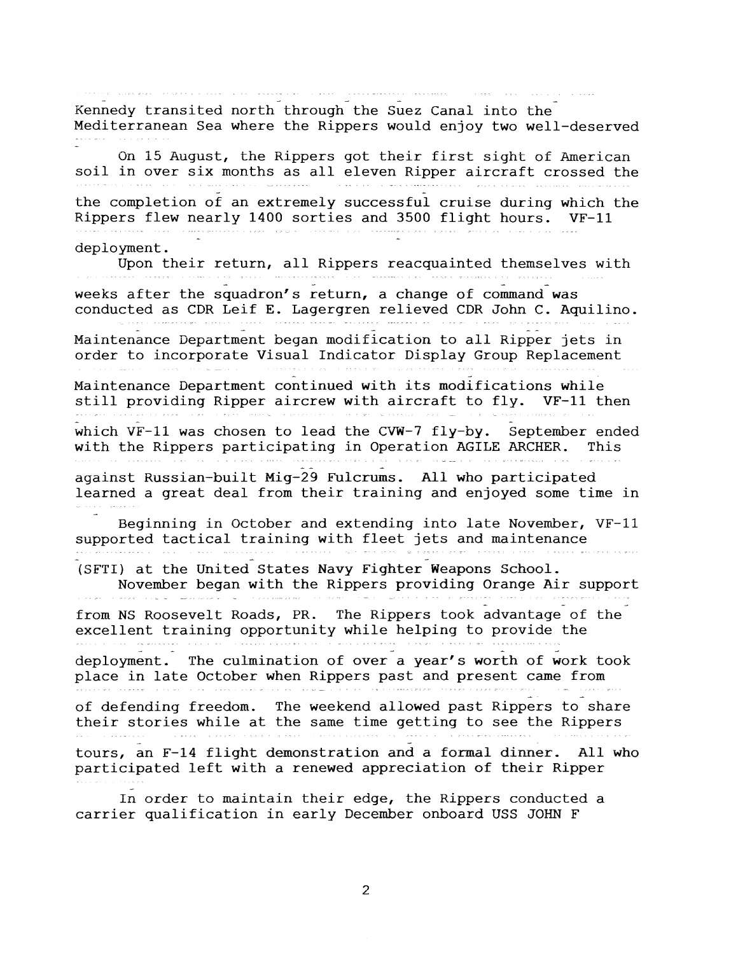. . Kennedy transited north through the Suez Canal into the Mediterranean Sea where the Rippers would enjoy two well-deserved On 15 August, the Rippers got their first sight of American soil in over six months as all eleven Ripper aircraft crossed the the completion of an extremely successful cruise during which the Rippers flew nearly 1400 sorties and 3500 flight hours. VF-11 deployment. Upon their return, all Rippers reacquainted themselves with - <sup>a</sup> weeks after the squadron's return, a change of command was conducted as CDR Leif E. Lagergren relieved CDR John C. Aquilino. Maintenance Department began modification to all Ripper jets in order to incorporate Visual Indicator Display Group Replacement Maintenance Department continued with its modifications while still providing Ripper aircrew with aircraft to fly. VF-11 then which VF-11 was chosen to lead the CVW-7 fly-by. September ended with the Rippers participating in Operation AGILE ARCHER. This against Russian-built  $Mig-29$  Fulcrums. All who participated learned a great deal from their training and enjoyed some time in **a**  Beginning in October and extending into late November, VF-11 supported tactical training with fleet jets and maintenance (SFTI) at the United States Navy Fighter Weapons School. November began with the Rippers providing Orange Air support from NS Roosevelt Roads, PR. The Rippers took advantage of the excellent training opportunity while helping to provide the deployment. The culmination of over a year's worth of work took place in late October when Rippers past and present came from of defending freedom. The weekend allowed past Rippers to share their stories while at the same time getting to see the Rippers tours, an F-14 flight demonstration and a formal dinner. All who participated left with a renewed appreciation of their Ripper In order to maintain their edge, the Rippers conducted a

 $\overline{2}$ 

carrier qualification in early December onboard USS JOHN F